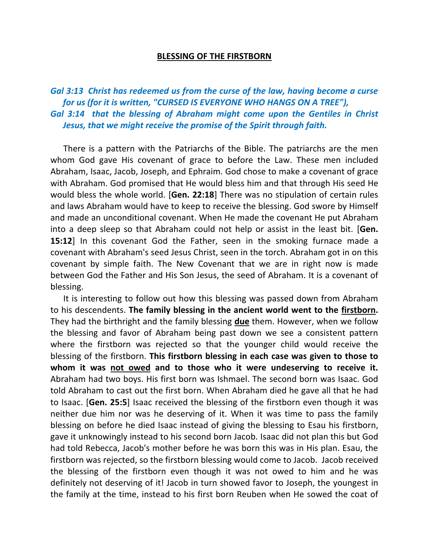## **BLESSING OF THE FIRSTBORN**

*Gal 3:13 Christ has redeemed us from the curse of the law, having become a curse for us (for it is written, "CURSED IS EVERYONE WHO HANGS ON A TREE"), Gal 3:14 that the blessing of Abraham might come upon the Gentiles in Christ Jesus, that we might receive the promise of the Spirit through faith.* 

 There is a pattern with the Patriarchs of the Bible. The patriarchs are the men whom God gave His covenant of grace to before the Law. These men included Abraham, Isaac, Jacob, Joseph, and Ephraim. God chose to make a covenant of grace with Abraham. God promised that He would bless him and that through His seed He would bless the whole world. [**Gen. 22:18**] There was no stipulation of certain rules and laws Abraham would have to keep to receive the blessing. God swore by Himself and made an unconditional covenant. When He made the covenant He put Abraham into a deep sleep so that Abraham could not help or assist in the least bit. [**Gen. 15:12**] In this covenant God the Father, seen in the smoking furnace made a covenant with Abraham's seed Jesus Christ, seen in the torch. Abraham got in on this covenant by simple faith. The New Covenant that we are in right now is made between God the Father and His Son Jesus, the seed of Abraham. It is a covenant of blessing.

 It is interesting to follow out how this blessing was passed down from Abraham to his descendents. **The family blessing in the ancient world went to the firstborn.**  They had the birthright and the family blessing **due** them. However, when we follow the blessing and favor of Abraham being past down we see a consistent pattern where the firstborn was rejected so that the younger child would receive the blessing of the firstborn. **This firstborn blessing in each case was given to those to whom it was not owed and to those who it were undeserving to receive it.** Abraham had two boys. His first born was Ishmael. The second born was Isaac. God told Abraham to cast out the first born. When Abraham died he gave all that he had to Isaac. [**Gen. 25:5**] Isaac received the blessing of the firstborn even though it was neither due him nor was he deserving of it. When it was time to pass the family blessing on before he died Isaac instead of giving the blessing to Esau his firstborn, gave it unknowingly instead to his second born Jacob. Isaac did not plan this but God had told Rebecca, Jacob's mother before he was born this was in His plan. Esau, the firstborn was rejected, so the firstborn blessing would come to Jacob. Jacob received the blessing of the firstborn even though it was not owed to him and he was definitely not deserving of it! Jacob in turn showed favor to Joseph, the youngest in the family at the time, instead to his first born Reuben when He sowed the coat of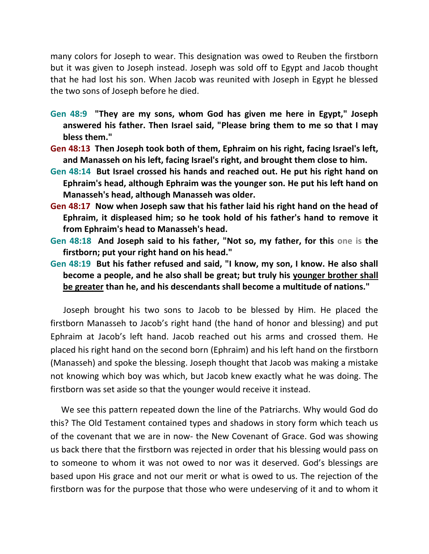many colors for Joseph to wear. This designation was owed to Reuben the firstborn but it was given to Joseph instead. Joseph was sold off to Egypt and Jacob thought that he had lost his son. When Jacob was reunited with Joseph in Egypt he blessed the two sons of Joseph before he died.

- **Gen 48:9 "They are my sons, whom God has given me here in Egypt," Joseph answered his father. Then Israel said, "Please bring them to me so that I may bless them."**
- **Gen 48:13 Then Joseph took both of them, Ephraim on his right, facing Israel's left, and Manasseh on his left, facing Israel's right, and brought them close to him.**
- **Gen 48:14 But Israel crossed his hands and reached out. He put his right hand on Ephraim's head, although Ephraim was the younger son. He put his left hand on Manasseh's head, although Manasseh was older.**
- **Gen 48:17 Now when Joseph saw that his father laid his right hand on the head of Ephraim, it displeased him; so he took hold of his father's hand to remove it from Ephraim's head to Manasseh's head.**
- **Gen 48:18 And Joseph said to his father, "Not so, my father, for this one is the firstborn; put your right hand on his head."**
- **Gen 48:19 But his father refused and said, "I know, my son, I know. He also shall become a people, and he also shall be great; but truly his younger brother shall be greater than he, and his descendants shall become a multitude of nations."**

 Joseph brought his two sons to Jacob to be blessed by Him. He placed the firstborn Manasseh to Jacob's right hand (the hand of honor and blessing) and put Ephraim at Jacob's left hand. Jacob reached out his arms and crossed them. He placed his right hand on the second born (Ephraim) and his left hand on the firstborn (Manasseh) and spoke the blessing. Joseph thought that Jacob was making a mistake not knowing which boy was which, but Jacob knew exactly what he was doing. The firstborn was set aside so that the younger would receive it instead.

 We see this pattern repeated down the line of the Patriarchs. Why would God do this? The Old Testament contained types and shadows in story form which teach us of the covenant that we are in now- the New Covenant of Grace. God was showing us back there that the firstborn was rejected in order that his blessing would pass on to someone to whom it was not owed to nor was it deserved. God's blessings are based upon His grace and not our merit or what is owed to us. The rejection of the firstborn was for the purpose that those who were undeserving of it and to whom it